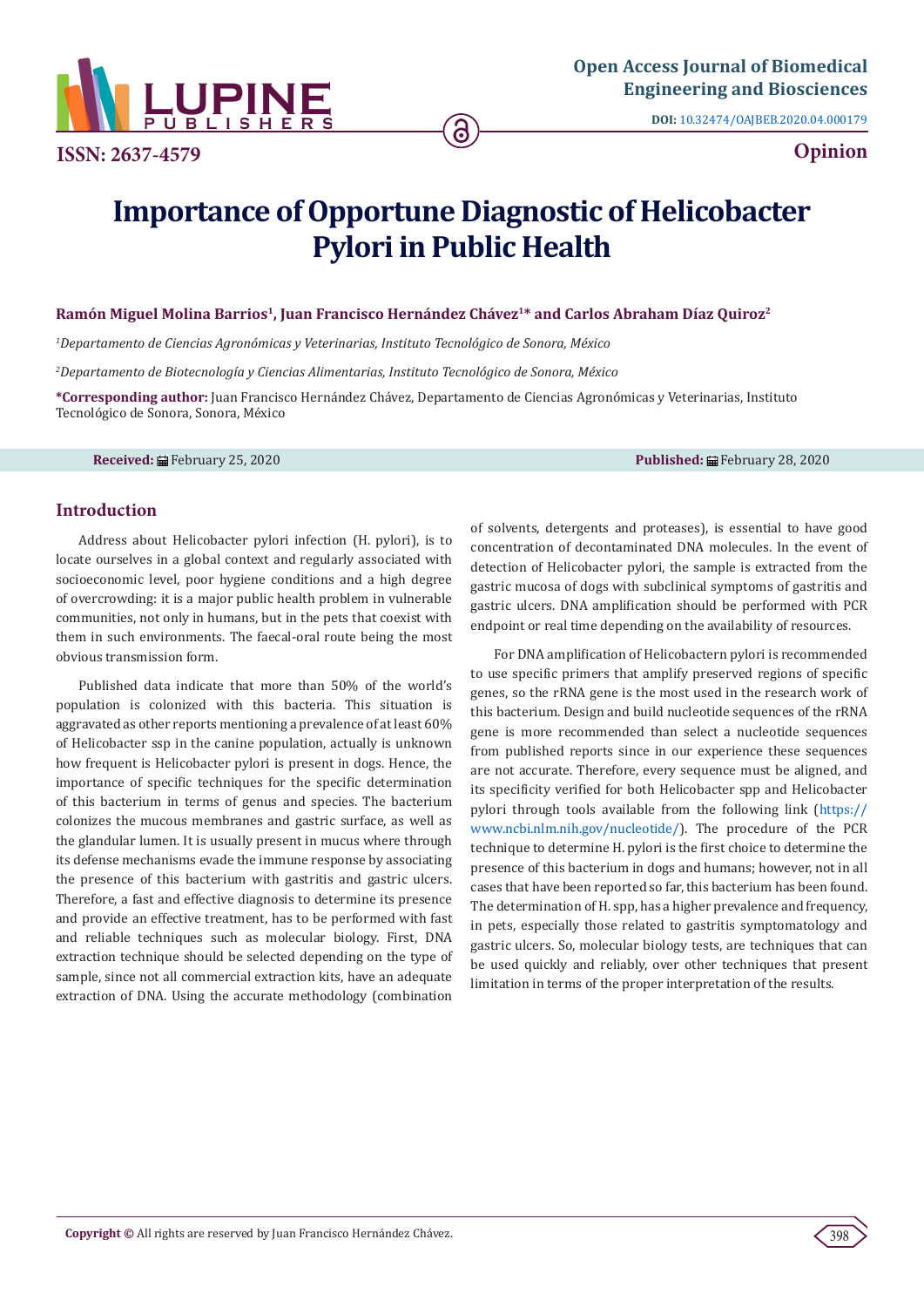

**ISSN: 2637-4579 Opinion**

**DOI:** [10.32474/OAJBEB.2020.04.000179](http://dx.doi.org/10.32474/OAJBEB.2020.04.000179)

# **Importance of Opportune Diagnostic of Helicobacter Pylori in Public Health**

#### **Ramón Miguel Molina Barrios1, Juan Francisco Hernández Chávez1\* and Carlos Abraham Díaz Quiroz2**

*1 Departamento de Ciencias Agronómicas y Veterinarias, Instituto Tecnológico de Sonora, México*

*2 Departamento de Biotecnología y Ciencias Alimentarias, Instituto Tecnológico de Sonora, México*

**\*Corresponding author:** Juan Francisco Hernández Chávez, Departamento de Ciencias Agronómicas y Veterinarias, Instituto Tecnológico de Sonora, Sonora, México

**Received:** February 25, 2020 **Published:** February 28, 2020

## **Introduction**

Address about Helicobacter pylori infection (H. pylori), is to locate ourselves in a global context and regularly associated with socioeconomic level, poor hygiene conditions and a high degree of overcrowding: it is a major public health problem in vulnerable communities, not only in humans, but in the pets that coexist with them in such environments. The faecal-oral route being the most obvious transmission form.

Published data indicate that more than 50% of the world's population is colonized with this bacteria. This situation is aggravated as other reports mentioning a prevalence of at least 60% of Helicobacter ssp in the canine population, actually is unknown how frequent is Helicobacter pylori is present in dogs. Hence, the importance of specific techniques for the specific determination of this bacterium in terms of genus and species. The bacterium colonizes the mucous membranes and gastric surface, as well as the glandular lumen. It is usually present in mucus where through its defense mechanisms evade the immune response by associating the presence of this bacterium with gastritis and gastric ulcers. Therefore, a fast and effective diagnosis to determine its presence and provide an effective treatment, has to be performed with fast and reliable techniques such as molecular biology. First, DNA extraction technique should be selected depending on the type of sample, since not all commercial extraction kits, have an adequate extraction of DNA. Using the accurate methodology (combination

of solvents, detergents and proteases), is essential to have good concentration of decontaminated DNA molecules. In the event of detection of Helicobacter pylori, the sample is extracted from the gastric mucosa of dogs with subclinical symptoms of gastritis and gastric ulcers. DNA amplification should be performed with PCR endpoint or real time depending on the availability of resources.

For DNA amplification of Helicobactern pylori is recommended to use specific primers that amplify preserved regions of specific genes, so the rRNA gene is the most used in the research work of this bacterium. Design and build nucleotide sequences of the rRNA gene is more recommended than select a nucleotide sequences from published reports since in our experience these sequences are not accurate. Therefore, every sequence must be aligned, and its specificity verified for both Helicobacter spp and Helicobacter pylori through tools available from the following link [\(https://](https://www.ncbi.nlm.nih.gov/nucleotide/) [www.ncbi.nlm.nih.gov/nucleotide/](https://www.ncbi.nlm.nih.gov/nucleotide/)). The procedure of the PCR technique to determine H. pylori is the first choice to determine the presence of this bacterium in dogs and humans; however, not in all cases that have been reported so far, this bacterium has been found. The determination of H. spp, has a higher prevalence and frequency, in pets, especially those related to gastritis symptomatology and gastric ulcers. So, molecular biology tests, are techniques that can be used quickly and reliably, over other techniques that present limitation in terms of the proper interpretation of the results.